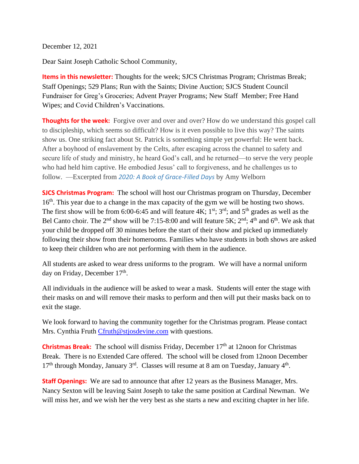December 12, 2021

Dear Saint Joseph Catholic School Community,

**Items in this newsletter:** Thoughts for the week; SJCS Christmas Program; Christmas Break; Staff Openings; 529 Plans; Run with the Saints; Divine Auction; SJCS Student Council Fundraiser for Greg's Groceries; Advent Prayer Programs; New Staff Member; Free Hand Wipes; and Covid Children's Vaccinations.

**Thoughts for the week:** Forgive over and over and over? How do we understand this gospel call to discipleship, which seems so difficult? How is it even possible to live this way? The saints show us. One striking fact about St. Patrick is something simple yet powerful: He went back. After a boyhood of enslavement by the Celts, after escaping across the channel to safety and secure life of study and ministry, he heard God's call, and he returned—to serve the very people who had held him captive. He embodied Jesus' call to forgiveness, and he challenges us to follow. —Excerpted from *[2020: A Book of Grace-Filled Days](https://www.loyolapress.com/retreats/i-forgive-you/~/link.aspx?_id=9E3D020C023B4A08A7E460803F79764F&_z=z)* by Amy Welborn

**SJCS Christmas Program:** The school will host our Christmas program on Thursday, December 16<sup>th</sup>. This year due to a change in the max capacity of the gym we will be hosting two shows. The first show will be from 6:00-6:45 and will feature  $4K$ ;  $1^{st}$ ;  $3^{rd}$ ; and  $5^{th}$  grades as well as the Bel Canto choir. The  $2^{nd}$  show will be 7:15-8:00 and will feature 5K;  $2^{nd}$ ;  $4^{th}$  and  $6^{th}$ . We ask that your child be dropped off 30 minutes before the start of their show and picked up immediately following their show from their homerooms. Families who have students in both shows are asked to keep their children who are not performing with them in the audience.

All students are asked to wear dress uniforms to the program. We will have a normal uniform day on Friday, December 17<sup>th</sup>.

All individuals in the audience will be asked to wear a mask. Students will enter the stage with their masks on and will remove their masks to perform and then will put their masks back on to exit the stage.

We look forward to having the community together for the Christmas program. Please contact Mrs. Cynthia Fruth [Cfruth@stjosdevine.com](mailto:Cfruth@stjosdevine.com) with questions.

**Christmas Break:** The school will dismiss Friday, December 17<sup>th</sup> at 12noon for Christmas Break. There is no Extended Care offered. The school will be closed from 12noon December  $17<sup>th</sup>$  through Monday, January 3<sup>rd</sup>. Classes will resume at 8 am on Tuesday, January 4<sup>th</sup>.

**Staff Openings:** We are sad to announce that after 12 years as the Business Manager, Mrs. Nancy Sexton will be leaving Saint Joseph to take the same position at Cardinal Newman. We will miss her, and we wish her the very best as she starts a new and exciting chapter in her life.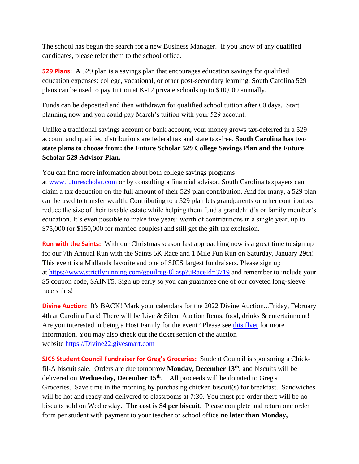The school has begun the search for a new Business Manager. If you know of any qualified candidates, please refer them to the school office.

**529 Plans:** A 529 plan is a savings plan that encourages education savings for qualified education expenses: college, vocational, or other post-secondary learning. South Carolina 529 plans can be used to pay tuition at K-12 private schools up to \$10,000 annually.

Funds can be deposited and then withdrawn for qualified school tuition after 60 days. Start planning now and you could pay March's tuition with your 529 account.

Unlike a traditional savings account or bank account, your money grows tax-deferred in a 529 account and qualified distributions are federal tax and state tax-free. **South Carolina has two state plans to choose from: the Future Scholar 529 College Savings Plan and the Future Scholar 529 Advisor Plan.**

You can find more information about both college savings programs at [www.futurescholar.com](http://www.futurescholar.com/) or by consulting a financial advisor. South Carolina taxpayers can claim a tax deduction on the full amount of their 529 plan contribution. And for many, a 529 plan can be used to transfer wealth. Contributing to a 529 plan lets grandparents or other contributors reduce the size of their taxable estate while helping them fund a grandchild's or family member's education. It's even possible to make five years' worth of contributions in a single year, up to \$75,000 (or \$150,000 for married couples) and still get the gift tax exclusion.

**Run with the Saints:** With our Christmas season fast approaching now is a great time to sign up for our 7th Annual Run with the Saints 5K Race and 1 Mile Fun Run on Saturday, January 29th! This event is a Midlands favorite and one of SJCS largest fundraisers. Please sign up at <https://www.strictlyrunning.com/gpuilreg-8l.asp?uRaceId=3719> and remember to include your \$5 coupon code, SAINT5. Sign up early so you can guarantee one of our coveted long-sleeve race shirts!

**Divine Auction:** It's BACK! Mark your calendars for the 2022 Divine Auction...Friday, February 4th at Carolina Park! There will be Live & Silent Auction Items, food, drinks & entertainment! Are you interested in being a Host Family for the event? Please see this [flyer](https://8031f793-3c69-48a4-b7ad-fa51d1caa95c.usrfiles.com/ugd/8031f7_cec3f6118cab4fe8900b744489f96660.pdf) for more information. You may also check out the ticket section of the auction website [https://Divine22.givesmart.com](https://divine22.givesmart.com/)

**SJCS Student Council Fundraiser for Greg's Groceries:** Student Council is sponsoring a Chickfil-A biscuit sale. Orders are due tomorrow **Monday, December 13th**, and biscuits will be delivered on **Wednesday, December 15th** . All proceeds will be donated to Greg's Groceries. Save time in the morning by purchasing chicken biscuit(s) for breakfast. Sandwiches will be hot and ready and delivered to classrooms at 7:30. You must pre-order there will be no biscuits sold on Wednesday. **The cost is \$4 per biscuit**. Please complete and return one order form per student with payment to your teacher or school office **no later than Monday,**